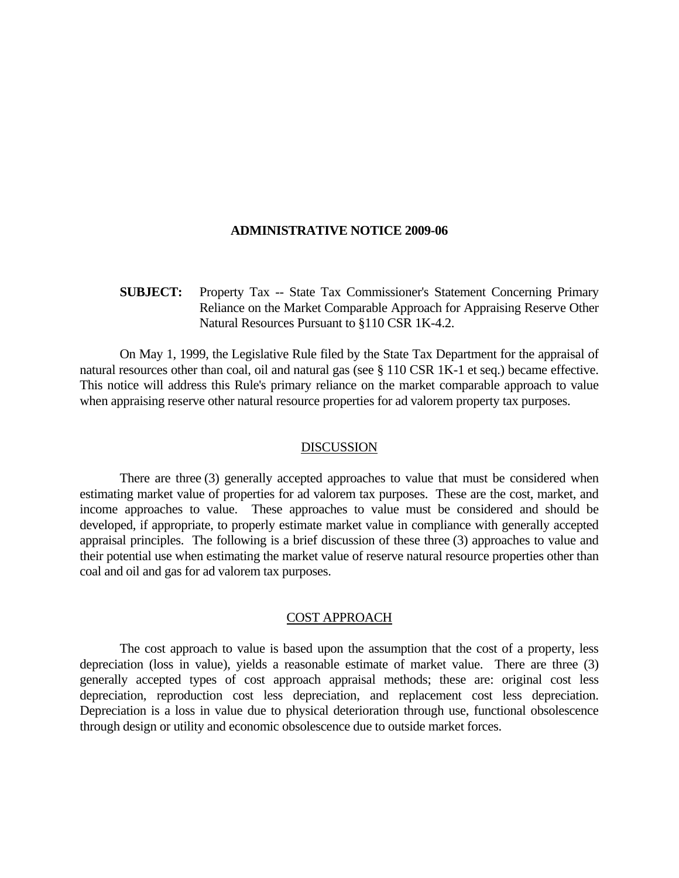#### **ADMINISTRATIVE NOTICE 2009-06**

# **SUBJECT:** Property Tax -- State Tax Commissioner's Statement Concerning Primary Reliance on the Market Comparable Approach for Appraising Reserve Other Natural Resources Pursuant to §110 CSR 1K-4.2.

 On May 1, 1999, the Legislative Rule filed by the State Tax Department for the appraisal of natural resources other than coal, oil and natural gas (see § 110 CSR 1K-1 et seq.) became effective. This notice will address this Rule's primary reliance on the market comparable approach to value when appraising reserve other natural resource properties for ad valorem property tax purposes.

#### DISCUSSION

 There are three (3) generally accepted approaches to value that must be considered when estimating market value of properties for ad valorem tax purposes. These are the cost, market, and income approaches to value. These approaches to value must be considered and should be developed, if appropriate, to properly estimate market value in compliance with generally accepted appraisal principles. The following is a brief discussion of these three (3) approaches to value and their potential use when estimating the market value of reserve natural resource properties other than coal and oil and gas for ad valorem tax purposes.

## COST APPROACH

 The cost approach to value is based upon the assumption that the cost of a property, less depreciation (loss in value), yields a reasonable estimate of market value. There are three (3) generally accepted types of cost approach appraisal methods; these are: original cost less depreciation, reproduction cost less depreciation, and replacement cost less depreciation. Depreciation is a loss in value due to physical deterioration through use, functional obsolescence through design or utility and economic obsolescence due to outside market forces.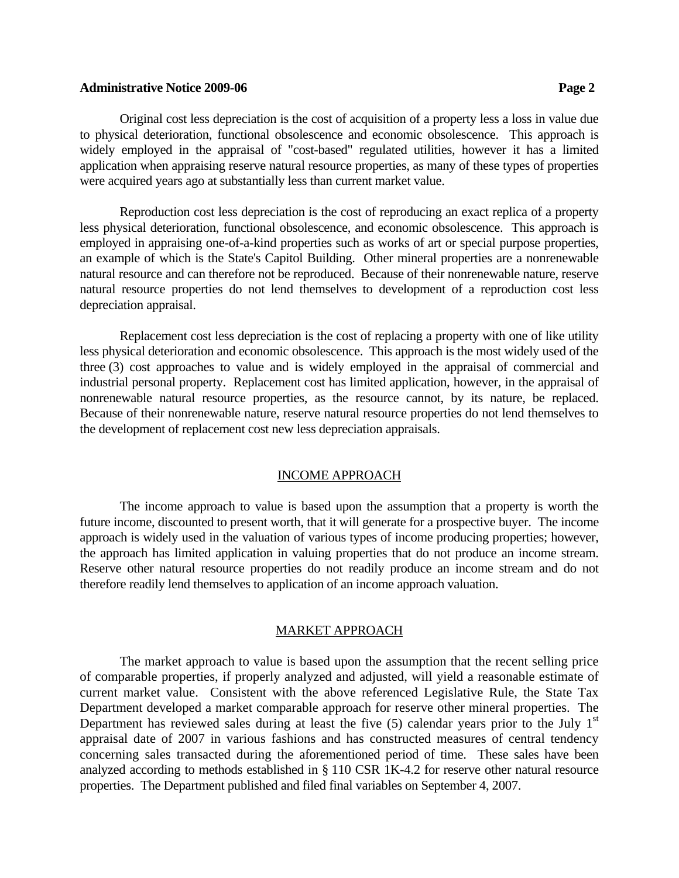### **Administrative Notice 2009-06 Page 2**

 Original cost less depreciation is the cost of acquisition of a property less a loss in value due to physical deterioration, functional obsolescence and economic obsolescence. This approach is widely employed in the appraisal of "cost-based" regulated utilities, however it has a limited application when appraising reserve natural resource properties, as many of these types of properties were acquired years ago at substantially less than current market value.

 Reproduction cost less depreciation is the cost of reproducing an exact replica of a property less physical deterioration, functional obsolescence, and economic obsolescence. This approach is employed in appraising one-of-a-kind properties such as works of art or special purpose properties, an example of which is the State's Capitol Building. Other mineral properties are a nonrenewable natural resource and can therefore not be reproduced. Because of their nonrenewable nature, reserve natural resource properties do not lend themselves to development of a reproduction cost less depreciation appraisal.

 Replacement cost less depreciation is the cost of replacing a property with one of like utility less physical deterioration and economic obsolescence. This approach is the most widely used of the three (3) cost approaches to value and is widely employed in the appraisal of commercial and industrial personal property. Replacement cost has limited application, however, in the appraisal of nonrenewable natural resource properties, as the resource cannot, by its nature, be replaced. Because of their nonrenewable nature, reserve natural resource properties do not lend themselves to the development of replacement cost new less depreciation appraisals.

## INCOME APPROACH

 The income approach to value is based upon the assumption that a property is worth the future income, discounted to present worth, that it will generate for a prospective buyer. The income approach is widely used in the valuation of various types of income producing properties; however, the approach has limited application in valuing properties that do not produce an income stream. Reserve other natural resource properties do not readily produce an income stream and do not therefore readily lend themselves to application of an income approach valuation.

## MARKET APPROACH

The market approach to value is based upon the assumption that the recent selling price of comparable properties, if properly analyzed and adjusted, will yield a reasonable estimate of current market value. Consistent with the above referenced Legislative Rule, the State Tax Department developed a market comparable approach for reserve other mineral properties. The Department has reviewed sales during at least the five  $(5)$  calendar years prior to the July 1<sup>st</sup> appraisal date of 2007 in various fashions and has constructed measures of central tendency concerning sales transacted during the aforementioned period of time. These sales have been analyzed according to methods established in § 110 CSR 1K-4.2 for reserve other natural resource properties. The Department published and filed final variables on September 4, 2007.